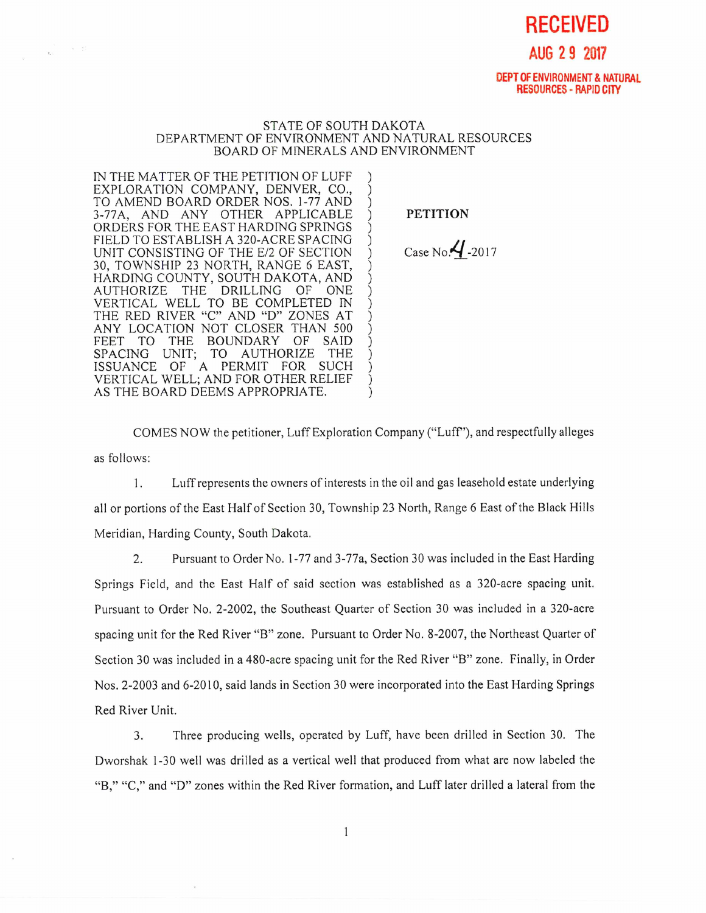**RECEIVED AUG 2 9 2017** 

## **DEPT OF ENVIRONMENT & NATURAL RESOURCES - RAPID CITY**

## STATE OF SOUTH DAKOTA DEPARTMENT OF ENVIRONMENT AND NATURAL RESOURCES BOARD OF MINERALS AND ENVIRONMENT

IN THE MATTER OF THE PETITION OF LUFF EXPLORATION COMPANY, DENVER, CO., TO AMEND BOARD ORDER NOS. 1-77 AND 3-77A, AND ANY OTHER APPLICABLE ORDERS FOR THE EAST HARDING SPRINGS FIELD TO ESTABLISH A 320-ACRE SPACING UNIT CONSISTING OF THE E/2 OF SECTION 30, TOWNSHIP 23 NORTH, RANGE 6 EAST, HARDING COUNTY, SOUTH DAKOTA, AND THE DRILLING VERTICAL WELL TO BE COMPLETED IN THE RED RIVER "C" AND "D" ZONES AT ANY LOCATION NOT CLOSER THAN 500 THE BOUNDARY OF SAID<br>UNIT: TO AUTHORIZE THE SPACING UNIT; TO AUTHORIZE ISSUANCE OF A PERMIT FOR SUCH VERTICAL WELL; AND FOR OTHER RELIEF AS THE BOARD DEEMS APPROPRIATE.

 $\mathcal{N} = 0$ 

 $\mathbf{r}_1$ 

**PETITION** 

Case No. $4$ -2017

COMES NOW the petitioner, Luff Exploration Company ("Luff"), and respectfully alleges as follows:

1. Luff represents the owners of interests in the oil and gas leasehold estate underlying all or portions of the East Half of Section 30, Township 23 North, Range 6 East of the Black Hills Meridian, Harding County, South Dakota.

2. Pursuant to Order No. 1-77 and 3-77a, Section 30 was included in the East Harding Springs Field, and the East Half of said section was established as a 320-acre spacing unit. Pursuant to Order No. 2-2002, the Southeast Quarter of Section 30 was included in a 320-acre spacing unit for the Red River "B" zone. Pursuant to Order No. 8-2007, the Northeast Quarter of Section 30 was included in a 480-acre spacing unit for the Red River "B" zone. Finally, in Order Nos. 2-2003 and 6-2010, said lands in Section 30 were incorporated into the East Harding Springs Red River Unit.

3. Three producing wells, operated by Luff, have been drilled in Section 30. The Dworshak 1-30 well was drilled as a vertical well that produced from what are now labeled the "B," "C," and "D" zones within the Red River formation, and Luff later drilled a lateral from the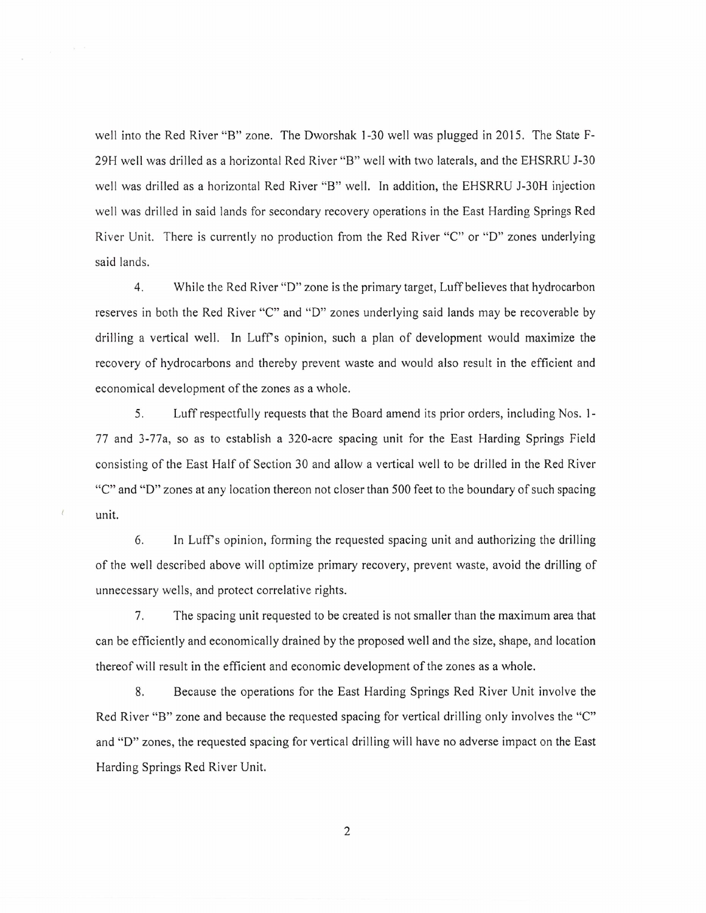well into the Red River "B" zone. The Dworshak 1-30 well was plugged in 2015. The State F-29H well was drilled as a horizontal Red River "B" well with two laterals, and the EHSRRU J-30 well was drilled as a horizontal Red River "B" well. In addition, the EHSRRU J-30H injection well was drilled in said lands for secondary recovery operations in the East Harding Springs Red River Unit. There is currently no production from the Red River "C" or "D" zones underlying said lands.

4. While the Red River "D" zone is the primary target, Luff believes that hydrocarbon reserves in both the Red River "C" and "D" zones underlying said lands may be recoverable by drilling a vertical well. In Luff's opinion, such a plan of development would maximize the recovery of hydrocarbons and thereby prevent waste and would also result in the efficient and economical development of the zones as a whole.

5. Luff respectfully requests that the Board amend its prior orders, including Nos. 1- 77 and 3-77a, so as to establish a 320-acre spacing unit for the East Harding Springs Field consisting of the East Half of Section 30 and allow a vertical well to be drilled in the Red River "C" and "D" zones at any location thereon not closer than 500 feet to the boundary of such spacing unit.

6. In Luff's opinion, forming the requested spacing unit and authorizing the drilling of the well described above will optimize primary recovery, prevent waste, avoid the drilling of unnecessary wells, and protect correlative rights.

7. The spacing unit requested to be created is not smaller than the maximum area that can be efficiently and economically drained by the proposed well and the size, shape, and location thereof will result in the efficient and economic development of the zones as a whole.

8. Because the operations for the East Harding Springs Red River Unit involve the Red River "B" zone and because the requested spacing for vertical drilling only involves the "C" and "D" zones, the requested spacing for vertical drilling will have no adverse impact on the East Harding Springs Red River Unit.

2